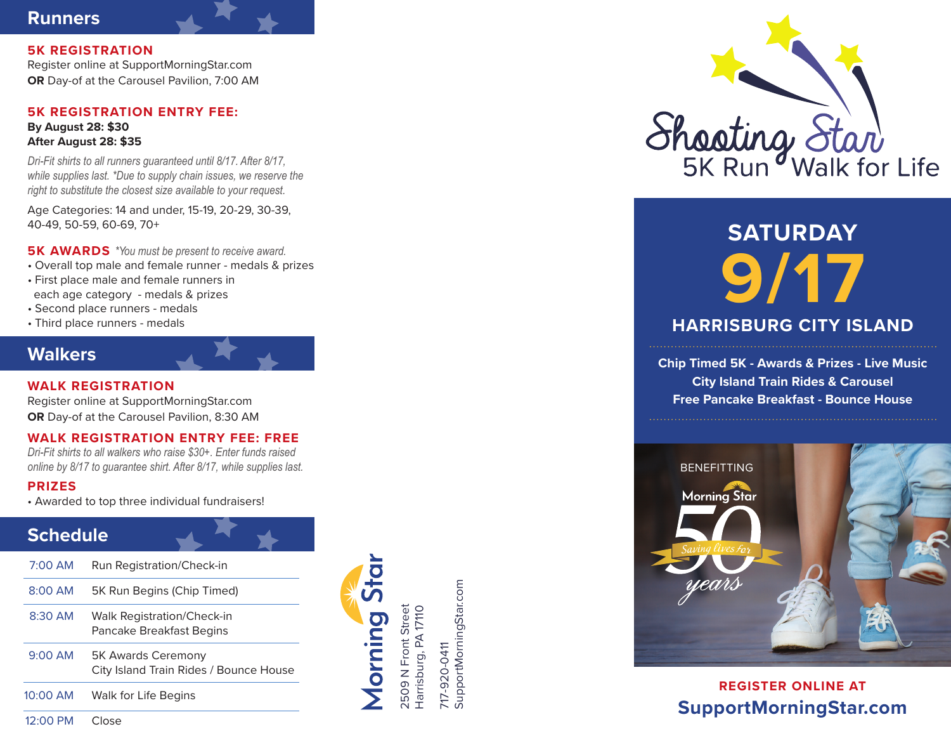# **Runners**

**5K REGISTRATION** Register online at SupportMorningStar.com **OR** Day-of at the Carousel Pavilion, 7:00 AM

### **5K REGISTRATION ENTRY FEE: By August 28: \$30 After August 28: \$35**

*Dri-Fit shirts to all runners guaranteed until 8/17. After 8/17, while supplies last. \*Due to supply chain issues, we reserve the right to substitute the closest size available to your request.*

Age Categories: 14 and under, 15-19, 20-29, 30-39, 40-49, 50-59, 60-69, 70+

**5K AWARDS** *\*You must be present to receive award.*

- Overall top male and female runner medals & prizes
- First place male and female runners in each age category - medals & prizes
- Second place runners medals
- Third place runners medals

# **Walkers**

**WALK REGISTRATION** Register online at SupportMorningStar.com

**OR** Day-of at the Carousel Pavilion, 8:30 AM

# **WALK REGISTRATION ENTRY FEE: FREE**

*Dri-Fit shirts to all walkers who raise \$30+. Enter funds raised online by 8/17 to guarantee shirt. After 8/17, while supplies last.*

### **PRIZES**

• Awarded to top three individual fundraisers!

# **Schedule**

| $7:00$ AM  | Run Registration/Check-in                                           |
|------------|---------------------------------------------------------------------|
| $8:00$ AM  | 5K Run Begins (Chip Timed)                                          |
| $8:30$ AM  | Walk Registration/Check-in<br>Pancake Breakfast Begins              |
| $9:00$ AM  | <b>5K Awards Ceremony</b><br>City Island Train Rides / Bounce House |
| $10:00$ AM | Walk for Life Begins                                                |

2509 N Front Street Harrisburg, PA 17110

Morning

2509 N Front Street<br>Harrisburg, PA 17110

717-920-0411

717-920-0411

SupportMorningStar.com

SupportMorningStar.com

12:00 PM Close



# **SATURDAY 9/17**

# **HARRISBURG CITY ISLAND**

**Chip Timed 5K - Awards & Prizes - Live Music City Island Train Rides & Carousel Free Pancake Breakfast - Bounce House**



**REGISTER ONLINE AT SupportMorningStar.com**